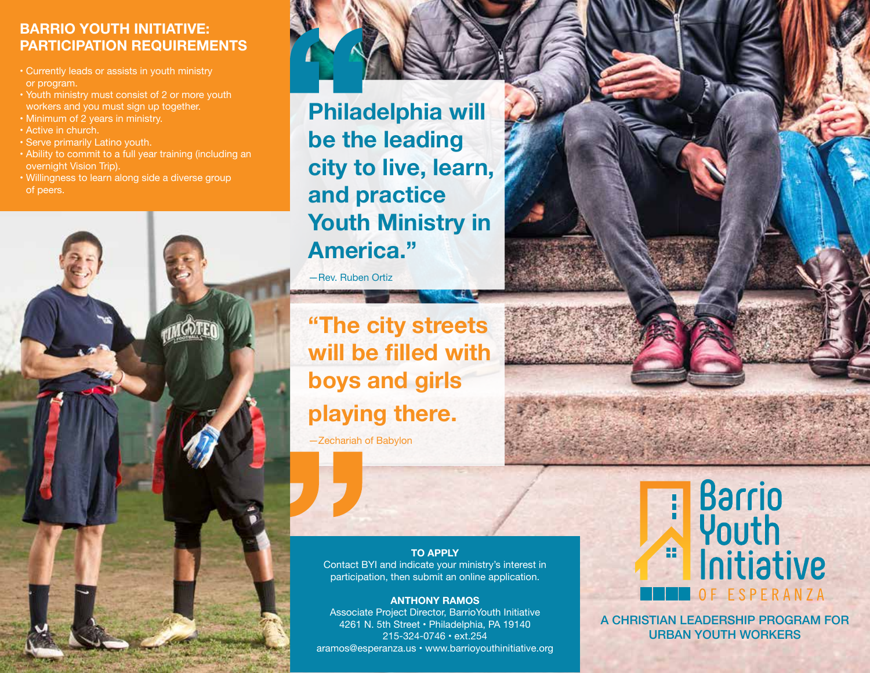### **BARRIO YOUTH INITIATIVE: PARTICIPATION REQUIREMENTS**

- Currently leads or assists in youth ministry or program.
- Youth ministry must consist of 2 or more youth workers and you must sign up together.
- Minimum of 2 years in ministry.
- Active in church.
- Serve primarily Latino youth.
- Ability to commit to a full year training (including an overnight Vision Trip).
- Willingness to learn along side a diverse group of peers.



—Rev. Ruben Ortiz

**"The city streets will be filled with boys and girls playing there.**

—Zechariah of Babylon

#### **TO APPLY**

Contact BYI and indicate your ministry's interest in participation, then submit an online application.

#### **ANTHONY RAMOS**

Associate Project Director, BarrioYouth Initiative 4261 N. 5th Street • Philadelphia, PA 19140 215-324-0746 • ext.254 aramos@esperanza.us • www.barrioyouthinitiative.org



Postal and the committee of

A CHRISTIAN LEADERSHIP PROGRAM FOR URBAN YOUTH WORKERS